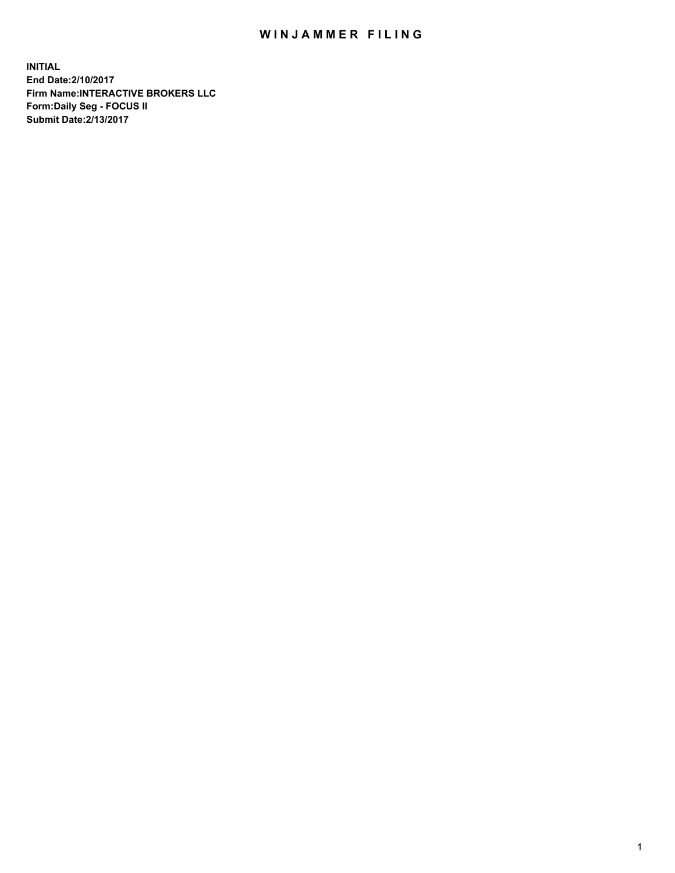## WIN JAMMER FILING

**INITIAL End Date:2/10/2017 Firm Name:INTERACTIVE BROKERS LLC Form:Daily Seg - FOCUS II Submit Date:2/13/2017**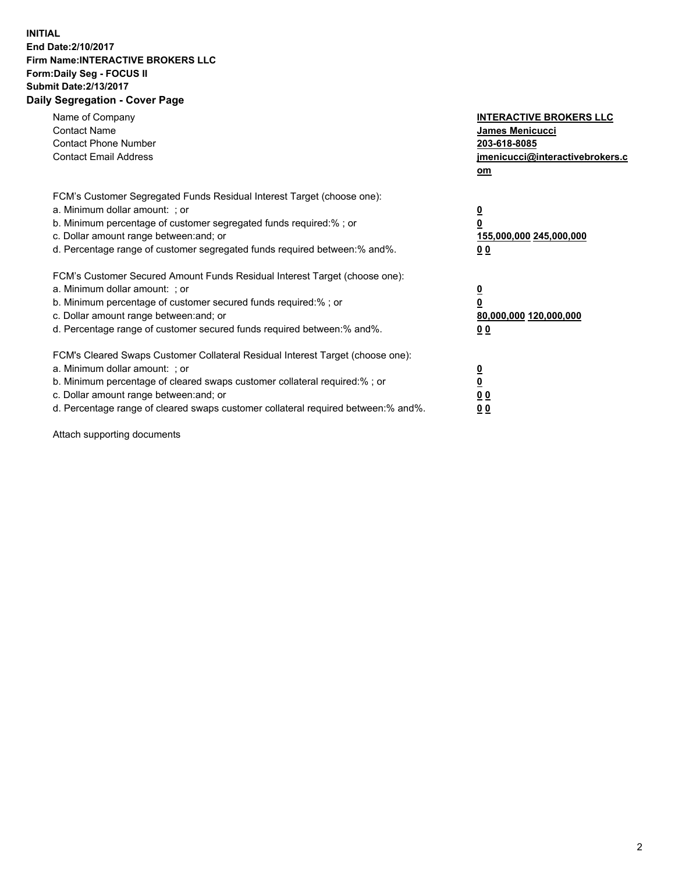## **INITIAL End Date:2/10/2017 Firm Name:INTERACTIVE BROKERS LLC Form:Daily Seg - FOCUS II Submit Date:2/13/2017 Daily Segregation - Cover Page**

| Name of Company<br><b>Contact Name</b><br><b>Contact Phone Number</b><br><b>Contact Email Address</b>                                                                                                                                                                                                                          | <b>INTERACTIVE BROKERS LLC</b><br><b>James Menicucci</b><br>203-618-8085<br>jmenicucci@interactivebrokers.c<br>om |
|--------------------------------------------------------------------------------------------------------------------------------------------------------------------------------------------------------------------------------------------------------------------------------------------------------------------------------|-------------------------------------------------------------------------------------------------------------------|
| FCM's Customer Segregated Funds Residual Interest Target (choose one):<br>a. Minimum dollar amount: ; or<br>b. Minimum percentage of customer segregated funds required:% ; or<br>c. Dollar amount range between: and; or<br>d. Percentage range of customer segregated funds required between: % and %.                       | $\overline{\mathbf{0}}$<br>0<br>155,000,000 245,000,000<br>00                                                     |
| FCM's Customer Secured Amount Funds Residual Interest Target (choose one):<br>a. Minimum dollar amount: ; or<br>b. Minimum percentage of customer secured funds required:%; or<br>c. Dollar amount range between: and; or<br>d. Percentage range of customer secured funds required between: % and %.                          | $\overline{\mathbf{0}}$<br>0<br>80,000,000 120,000,000<br>00                                                      |
| FCM's Cleared Swaps Customer Collateral Residual Interest Target (choose one):<br>a. Minimum dollar amount: ; or<br>b. Minimum percentage of cleared swaps customer collateral required:% ; or<br>c. Dollar amount range between: and; or<br>d. Percentage range of cleared swaps customer collateral required between:% and%. | $\overline{\mathbf{0}}$<br>$\overline{\mathbf{0}}$<br>00<br>0 <sub>0</sub>                                        |

Attach supporting documents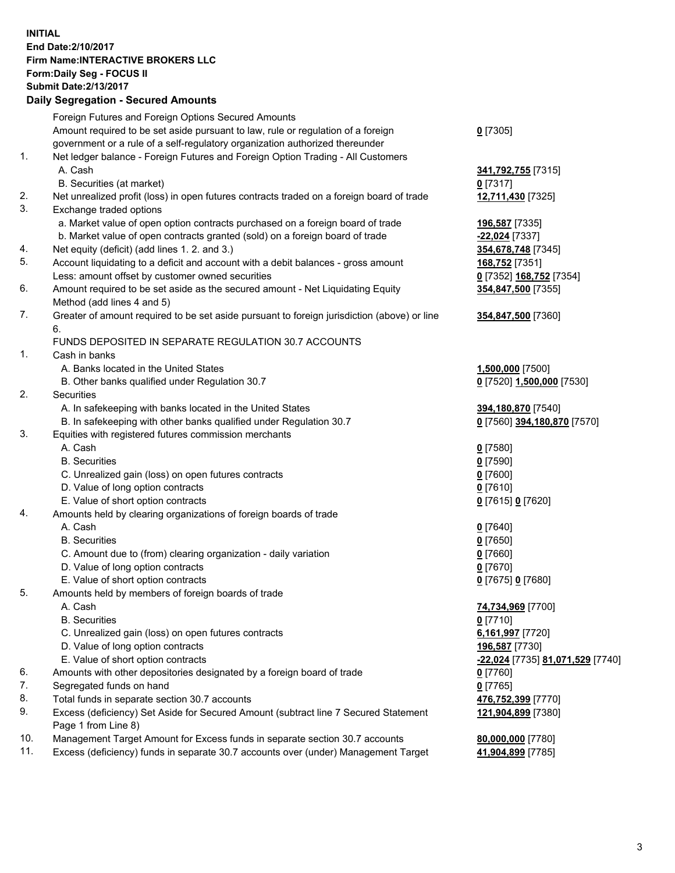## **INITIAL End Date:2/10/2017 Firm Name:INTERACTIVE BROKERS LLC Form:Daily Seg - FOCUS II**

|     | <b>Submit Date: 2/13/2017</b>                                                                              |                                  |
|-----|------------------------------------------------------------------------------------------------------------|----------------------------------|
|     | <b>Daily Segregation - Secured Amounts</b>                                                                 |                                  |
|     | Foreign Futures and Foreign Options Secured Amounts                                                        |                                  |
|     | Amount required to be set aside pursuant to law, rule or regulation of a foreign                           | $0$ [7305]                       |
|     | government or a rule of a self-regulatory organization authorized thereunder                               |                                  |
| 1.  | Net ledger balance - Foreign Futures and Foreign Option Trading - All Customers                            |                                  |
|     | A. Cash                                                                                                    | 341,792,755 [7315]               |
|     | B. Securities (at market)                                                                                  | $0$ [7317]                       |
| 2.  | Net unrealized profit (loss) in open futures contracts traded on a foreign board of trade                  | 12,711,430 [7325]                |
| 3.  | Exchange traded options                                                                                    |                                  |
|     | a. Market value of open option contracts purchased on a foreign board of trade                             | 196,587 [7335]                   |
|     | b. Market value of open contracts granted (sold) on a foreign board of trade                               | -22,024 [7337]                   |
| 4.  | Net equity (deficit) (add lines 1.2. and 3.)                                                               | 354,678,748 [7345]               |
| 5.  | Account liquidating to a deficit and account with a debit balances - gross amount                          | 168,752 [7351]                   |
|     | Less: amount offset by customer owned securities                                                           | 0 [7352] 168,752 [7354]          |
| 6.  | Amount required to be set aside as the secured amount - Net Liquidating Equity                             | 354,847,500 [7355]               |
|     | Method (add lines 4 and 5)                                                                                 |                                  |
| 7.  | Greater of amount required to be set aside pursuant to foreign jurisdiction (above) or line                | 354,847,500 [7360]               |
|     | 6.                                                                                                         |                                  |
|     | FUNDS DEPOSITED IN SEPARATE REGULATION 30.7 ACCOUNTS                                                       |                                  |
| 1.  | Cash in banks                                                                                              |                                  |
|     | A. Banks located in the United States                                                                      | 1,500,000 [7500]                 |
|     | B. Other banks qualified under Regulation 30.7                                                             | 0 [7520] 1,500,000 [7530]        |
| 2.  | Securities                                                                                                 |                                  |
|     | A. In safekeeping with banks located in the United States                                                  | 394,180,870 [7540]               |
|     | B. In safekeeping with other banks qualified under Regulation 30.7                                         | 0 [7560] 394,180,870 [7570]      |
| 3.  | Equities with registered futures commission merchants                                                      |                                  |
|     | A. Cash                                                                                                    | $0$ [7580]                       |
|     | <b>B.</b> Securities                                                                                       | $0$ [7590]                       |
|     | C. Unrealized gain (loss) on open futures contracts                                                        | 0 [7600]                         |
|     | D. Value of long option contracts                                                                          | $0$ [7610]                       |
|     | E. Value of short option contracts                                                                         | 0 [7615] 0 [7620]                |
| 4.  | Amounts held by clearing organizations of foreign boards of trade                                          |                                  |
|     | A. Cash                                                                                                    | $0$ [7640]                       |
|     | <b>B.</b> Securities                                                                                       | $0$ [7650]                       |
|     | C. Amount due to (from) clearing organization - daily variation                                            | 0 [7660]                         |
|     | D. Value of long option contracts                                                                          | $0$ [7670]                       |
|     | E. Value of short option contracts                                                                         | 0 [7675] 0 [7680]                |
| 5.  | Amounts held by members of foreign boards of trade                                                         |                                  |
|     | A. Cash                                                                                                    | 74,734,969 [7700]                |
|     | <b>B.</b> Securities                                                                                       | $0$ [7710]                       |
|     | C. Unrealized gain (loss) on open futures contracts                                                        | 6,161,997 [7720]                 |
|     | D. Value of long option contracts                                                                          | 196,587 [7730]                   |
|     | E. Value of short option contracts                                                                         | -22,024 [7735] 81,071,529 [7740] |
| 6.  | Amounts with other depositories designated by a foreign board of trade                                     | 0 [7760]                         |
| 7.  | Segregated funds on hand                                                                                   | $0$ [7765]                       |
| 8.  | Total funds in separate section 30.7 accounts                                                              | 476,752,399 [7770]               |
| 9.  | Excess (deficiency) Set Aside for Secured Amount (subtract line 7 Secured Statement<br>Page 1 from Line 8) | 121,904,899 [7380]               |
| 10. | Management Target Amount for Excess funds in separate section 30.7 accounts                                | 80,000,000 [7780]                |
| 11. | Excess (deficiency) funds in separate 30.7 accounts over (under) Management Target                         | 41,904,899 [7785]                |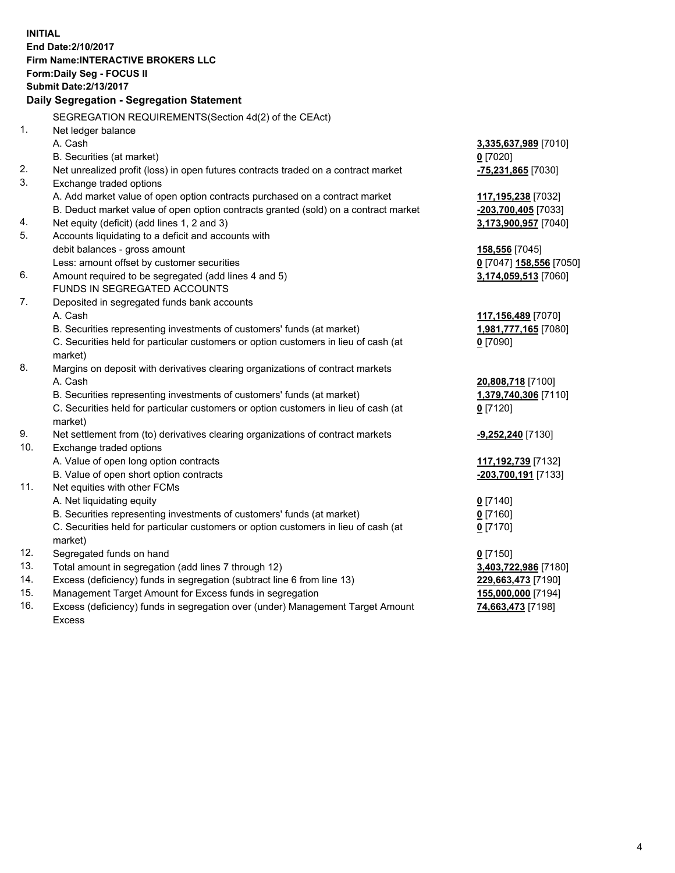**INITIAL End Date:2/10/2017 Firm Name:INTERACTIVE BROKERS LLC Form:Daily Seg - FOCUS II Submit Date:2/13/2017 Daily Segregation - Segregation Statement** SEGREGATION REQUIREMENTS(Section 4d(2) of the CEAct) 1. Net ledger balance A. Cash **3,335,637,989** [7010] B. Securities (at market) **0** [7020] 2. Net unrealized profit (loss) in open futures contracts traded on a contract market **-75,231,865** [7030] 3. Exchange traded options A. Add market value of open option contracts purchased on a contract market **117,195,238** [7032] B. Deduct market value of open option contracts granted (sold) on a contract market **-203,700,405** [7033] 4. Net equity (deficit) (add lines 1, 2 and 3) **3,173,900,957** [7040] 5. Accounts liquidating to a deficit and accounts with debit balances - gross amount **158,556** [7045] Less: amount offset by customer securities **0** [7047] **158,556** [7050] 6. Amount required to be segregated (add lines 4 and 5) **3,174,059,513** [7060] FUNDS IN SEGREGATED ACCOUNTS 7. Deposited in segregated funds bank accounts A. Cash **117,156,489** [7070] B. Securities representing investments of customers' funds (at market) **1,981,777,165** [7080] C. Securities held for particular customers or option customers in lieu of cash (at market) **0** [7090] 8. Margins on deposit with derivatives clearing organizations of contract markets A. Cash **20,808,718** [7100] B. Securities representing investments of customers' funds (at market) **1,379,740,306** [7110] C. Securities held for particular customers or option customers in lieu of cash (at market) **0** [7120] 9. Net settlement from (to) derivatives clearing organizations of contract markets **-9,252,240** [7130] 10. Exchange traded options A. Value of open long option contracts **117,192,739** [7132] B. Value of open short option contracts **-203,700,191** [7133] 11. Net equities with other FCMs A. Net liquidating equity **0** [7140] B. Securities representing investments of customers' funds (at market) **0** [7160] C. Securities held for particular customers or option customers in lieu of cash (at market) **0** [7170] 12. Segregated funds on hand **0** [7150] 13. Total amount in segregation (add lines 7 through 12) **3,403,722,986** [7180] 14. Excess (deficiency) funds in segregation (subtract line 6 from line 13) **229,663,473** [7190] 15. Management Target Amount for Excess funds in segregation **155,000,000** [7194]

16. Excess (deficiency) funds in segregation over (under) Management Target Amount Excess

**74,663,473** [7198]